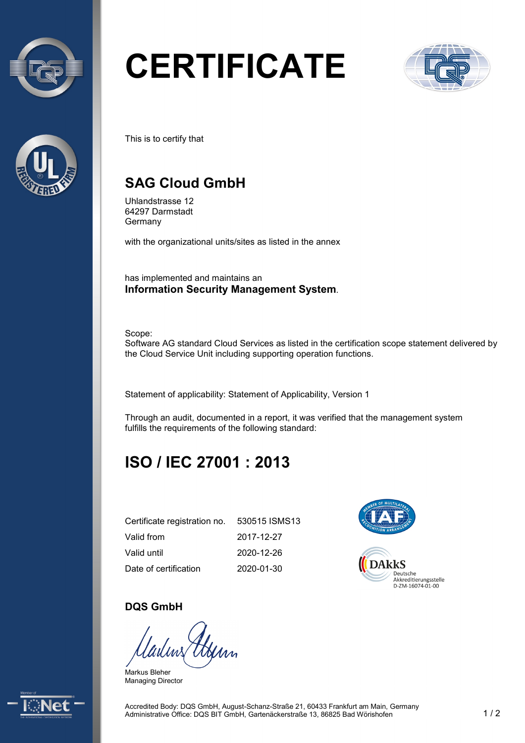



# **CERTIFICATE**



This is to certify that

## **SAG Cloud GmbH**

Uhlandstrasse 12 64297 Darmstadt Germany

with the organizational units/sites as listed in the annex

has implemented and maintains an **Information Security Management System**.

Scope:

Software AG standard Cloud Services as listed in the certification scope statement delivered by the Cloud Service Unit including supporting operation functions.

Statement of applicability: Statement of Applicability, Version 1

Through an audit, documented in a report, it was verified that the management system fulfills the requirements of the following standard:

## **ISO / IEC 27001 : 2013**

| Certificate registration no. | 530515 ISMS13 |
|------------------------------|---------------|
| Valid from                   | 2017-12-27    |
| Valid until                  | 2020-12-26    |
| Date of certification        | 2020-01-30    |



#### **DQS GmbH**

Markus Bleher Managing Director



Accredited Body: DQS GmbH, August-Schanz-Straße 21, 60433 Frankfurt am Main, Germany Administrative Office: DQS BIT GmbH, Gartenäckerstraße 13, 86825 Bad Wörishofen 1 / 2